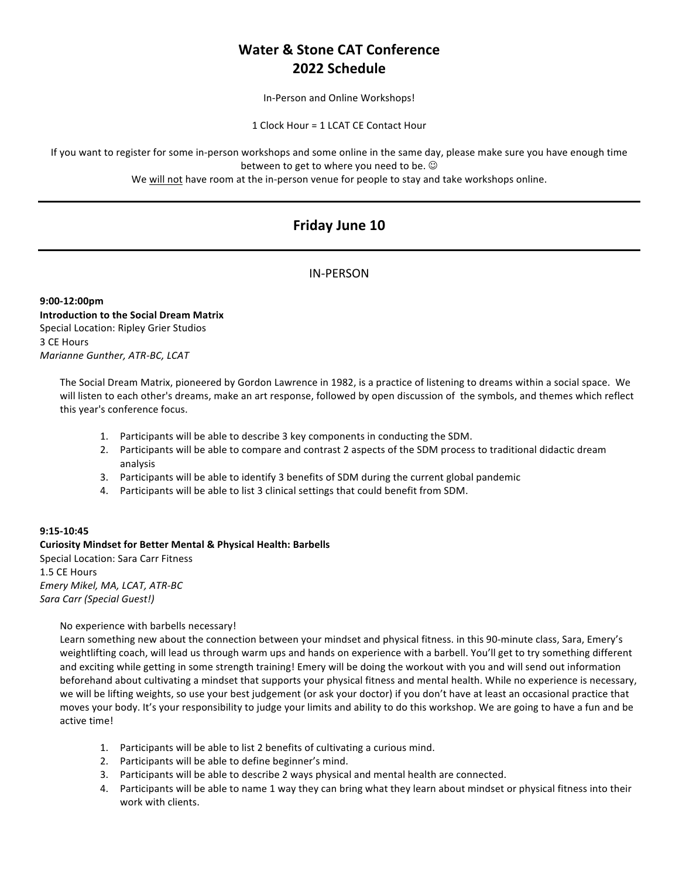# **Water & Stone CAT Conference 2022 Schedule**

In-Person and Online Workshops!

1 Clock Hour = 1 LCAT CE Contact Hour

If you want to register for some in-person workshops and some online in the same day, please make sure you have enough time between to get to where you need to be.  $\odot$ 

We will not have room at the in-person venue for people to stay and take workshops online.

# **Friday June 10**

## IN-PERSON

**9:00-12:00pm Introduction to the Social Dream Matrix** Special Location: Ripley Grier Studios 3 CE Hours *Marianne Gunther, ATR-BC, LCAT*

> The Social Dream Matrix, pioneered by Gordon Lawrence in 1982, is a practice of listening to dreams within a social space. We will listen to each other's dreams, make an art response, followed by open discussion of the symbols, and themes which reflect this year's conference focus.

- 1. Participants will be able to describe 3 key components in conducting the SDM.
- 2. Participants will be able to compare and contrast 2 aspects of the SDM process to traditional didactic dream analysis
- 3. Participants will be able to identify 3 benefits of SDM during the current global pandemic
- 4. Participants will be able to list 3 clinical settings that could benefit from SDM.

### **9:15-10:45**

### **Curiosity Mindset for Better Mental & Physical Health: Barbells** Special Location: Sara Carr Fitness 1.5 CE Hours *Emery Mikel, MA, LCAT, ATR-BC Sara Carr (Special Guest!)*

### No experience with barbells necessary!

Learn something new about the connection between your mindset and physical fitness. in this 90-minute class, Sara, Emery's weightlifting coach, will lead us through warm ups and hands on experience with a barbell. You'll get to try something different and exciting while getting in some strength training! Emery will be doing the workout with you and will send out information beforehand about cultivating a mindset that supports your physical fitness and mental health. While no experience is necessary, we will be lifting weights, so use your best judgement (or ask your doctor) if you don't have at least an occasional practice that moves your body. It's your responsibility to judge your limits and ability to do this workshop. We are going to have a fun and be active time!

- 1. Participants will be able to list 2 benefits of cultivating a curious mind.
- 2. Participants will be able to define beginner's mind.
- 3. Participants will be able to describe 2 ways physical and mental health are connected.
- 4. Participants will be able to name 1 way they can bring what they learn about mindset or physical fitness into their work with clients.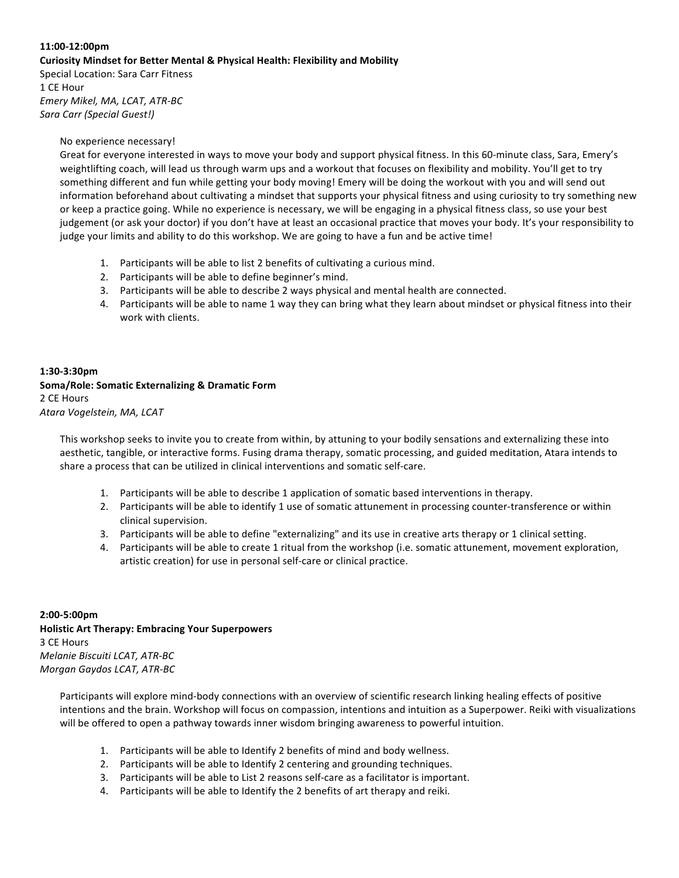## **11:00-12:00pm Curiosity Mindset for Better Mental & Physical Health: Flexibility and Mobility**

Special Location: Sara Carr Fitness 1 CE Hour *Emery Mikel, MA, LCAT, ATR-BC Sara Carr (Special Guest!)*

### No experience necessary!

Great for everyone interested in ways to move your body and support physical fitness. In this 60-minute class, Sara, Emery's weightlifting coach, will lead us through warm ups and a workout that focuses on flexibility and mobility. You'll get to try something different and fun while getting your body moving! Emery will be doing the workout with you and will send out information beforehand about cultivating a mindset that supports your physical fitness and using curiosity to try something new or keep a practice going. While no experience is necessary, we will be engaging in a physical fitness class, so use your best judgement (or ask your doctor) if you don't have at least an occasional practice that moves your body. It's your responsibility to judge your limits and ability to do this workshop. We are going to have a fun and be active time!

- 1. Participants will be able to list 2 benefits of cultivating a curious mind.
- 2. Participants will be able to define beginner's mind.
- 3. Participants will be able to describe 2 ways physical and mental health are connected.
- 4. Participants will be able to name 1 way they can bring what they learn about mindset or physical fitness into their work with clients.

## **1:30-3:30pm Soma/Role: Somatic Externalizing & Dramatic Form** 2 CE Hours *Atara Vogelstein, MA, LCAT*

This workshop seeks to invite you to create from within, by attuning to your bodily sensations and externalizing these into aesthetic, tangible, or interactive forms. Fusing drama therapy, somatic processing, and guided meditation, Atara intends to share a process that can be utilized in clinical interventions and somatic self-care.

- 1. Participants will be able to describe 1 application of somatic based interventions in therapy.
- 2. Participants will be able to identify 1 use of somatic attunement in processing counter-transference or within clinical supervision.
- 3. Participants will be able to define "externalizing" and its use in creative arts therapy or 1 clinical setting.
- 4. Participants will be able to create 1 ritual from the workshop (i.e. somatic attunement, movement exploration, artistic creation) for use in personal self-care or clinical practice.

## **2:00-5:00pm Holistic Art Therapy: Embracing Your Superpowers** 3 CE Hours *Melanie Biscuiti LCAT, ATR-BC Morgan Gaydos LCAT, ATR-BC*

Participants will explore mind-body connections with an overview of scientific research linking healing effects of positive intentions and the brain. Workshop will focus on compassion, intentions and intuition as a Superpower. Reiki with visualizations will be offered to open a pathway towards inner wisdom bringing awareness to powerful intuition.

- 1. Participants will be able to Identify 2 benefits of mind and body wellness.
- 2. Participants will be able to Identify 2 centering and grounding techniques.
- 3. Participants will be able to List 2 reasons self-care as a facilitator is important.
- 4. Participants will be able to Identify the 2 benefits of art therapy and reiki.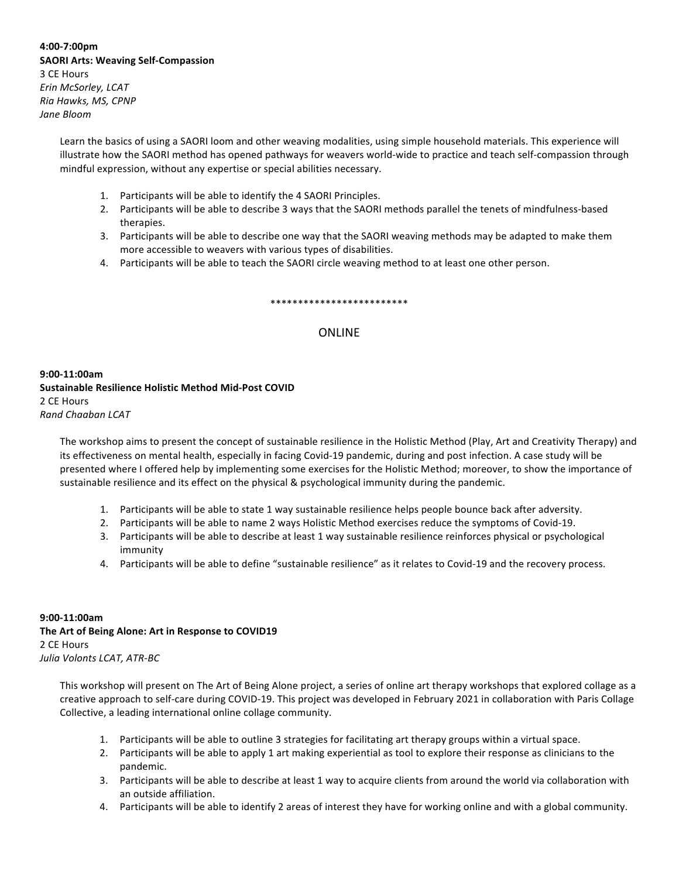**4:00-7:00pm SAORI Arts: Weaving Self-Compassion** 3 CE Hours *Erin McSorley, LCAT Ria Hawks, MS, CPNP Jane Bloom*

> Learn the basics of using a SAORI loom and other weaving modalities, using simple household materials. This experience will illustrate how the SAORI method has opened pathways for weavers world-wide to practice and teach self-compassion through mindful expression, without any expertise or special abilities necessary.

- 1. Participants will be able to identify the 4 SAORI Principles.
- 2. Participants will be able to describe 3 ways that the SAORI methods parallel the tenets of mindfulness-based therapies.
- 3. Participants will be able to describe one way that the SAORI weaving methods may be adapted to make them more accessible to weavers with various types of disabilities.
- 4. Participants will be able to teach the SAORI circle weaving method to at least one other person.

#### \*\*\*\*\*\*\*\*\*\*\*\*\*\*\*\*\*\*\*\*\*\*\*\*\*

### ONLINE

**9:00-11:00am Sustainable Resilience Holistic Method Mid-Post COVID** 2 CE Hours *Rand Chaaban LCAT*

The workshop aims to present the concept of sustainable resilience in the Holistic Method (Play, Art and Creativity Therapy) and its effectiveness on mental health, especially in facing Covid-19 pandemic, during and post infection. A case study will be presented where I offered help by implementing some exercises for the Holistic Method; moreover, to show the importance of sustainable resilience and its effect on the physical & psychological immunity during the pandemic.

- 1. Participants will be able to state 1 way sustainable resilience helps people bounce back after adversity.
- 2. Participants will be able to name 2 ways Holistic Method exercises reduce the symptoms of Covid-19.
- 3. Participants will be able to describe at least 1 way sustainable resilience reinforces physical or psychological immunity
- 4. Participants will be able to define "sustainable resilience" as it relates to Covid-19 and the recovery process.

### **9:00-11:00am** The Art of Being Alone: Art in Response to COVID19 2 CE Hours *Julia Volonts LCAT, ATR-BC*

This workshop will present on The Art of Being Alone project, a series of online art therapy workshops that explored collage as a creative approach to self-care during COVID-19. This project was developed in February 2021 in collaboration with Paris Collage Collective, a leading international online collage community.

- 1. Participants will be able to outline 3 strategies for facilitating art therapy groups within a virtual space.
- 2. Participants will be able to apply 1 art making experiential as tool to explore their response as clinicians to the pandemic.
- 3. Participants will be able to describe at least 1 way to acquire clients from around the world via collaboration with an outside affiliation.
- 4. Participants will be able to identify 2 areas of interest they have for working online and with a global community.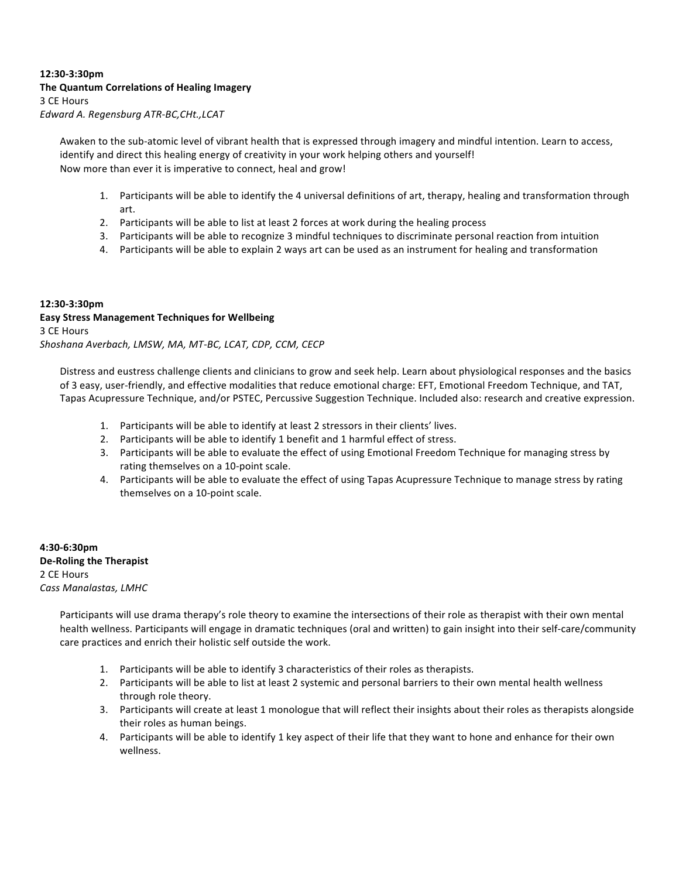### **12:30-3:30pm The Quantum Correlations of Healing Imagery** 3 CE Hours *Edward A. Regensburg ATR-BC,CHt.,LCAT*

Awaken to the sub-atomic level of vibrant health that is expressed through imagery and mindful intention. Learn to access, identify and direct this healing energy of creativity in your work helping others and yourself! Now more than ever it is imperative to connect, heal and grow!

- 1. Participants will be able to identify the 4 universal definitions of art, therapy, healing and transformation through art.
- 2. Participants will be able to list at least 2 forces at work during the healing process
- 3. Participants will be able to recognize 3 mindful techniques to discriminate personal reaction from intuition
- 4. Participants will be able to explain 2 ways art can be used as an instrument for healing and transformation

### **12:30-3:30pm Easy Stress Management Techniques for Wellbeing** 3 CE Hours *Shoshana Averbach, LMSW, MA, MT-BC, LCAT, CDP, CCM, CECP*

Distress and eustress challenge clients and clinicians to grow and seek help. Learn about physiological responses and the basics of 3 easy, user-friendly, and effective modalities that reduce emotional charge: EFT, Emotional Freedom Technique, and TAT, Tapas Acupressure Technique, and/or PSTEC, Percussive Suggestion Technique. Included also: research and creative expression.

- 1. Participants will be able to identify at least 2 stressors in their clients' lives.
- 2. Participants will be able to identify 1 benefit and 1 harmful effect of stress.
- 3. Participants will be able to evaluate the effect of using Emotional Freedom Technique for managing stress by rating themselves on a 10-point scale.
- 4. Participants will be able to evaluate the effect of using Tapas Acupressure Technique to manage stress by rating themselves on a 10-point scale.

**4:30-6:30pm De-Roling the Therapist** 2 CE Hours *Cass Manalastas, LMHC*

> Participants will use drama therapy's role theory to examine the intersections of their role as therapist with their own mental health wellness. Participants will engage in dramatic techniques (oral and written) to gain insight into their self-care/community care practices and enrich their holistic self outside the work.

- 1. Participants will be able to identify 3 characteristics of their roles as therapists.
- 2. Participants will be able to list at least 2 systemic and personal barriers to their own mental health wellness through role theory.
- 3. Participants will create at least 1 monologue that will reflect their insights about their roles as therapists alongside their roles as human beings.
- 4. Participants will be able to identify 1 key aspect of their life that they want to hone and enhance for their own wellness.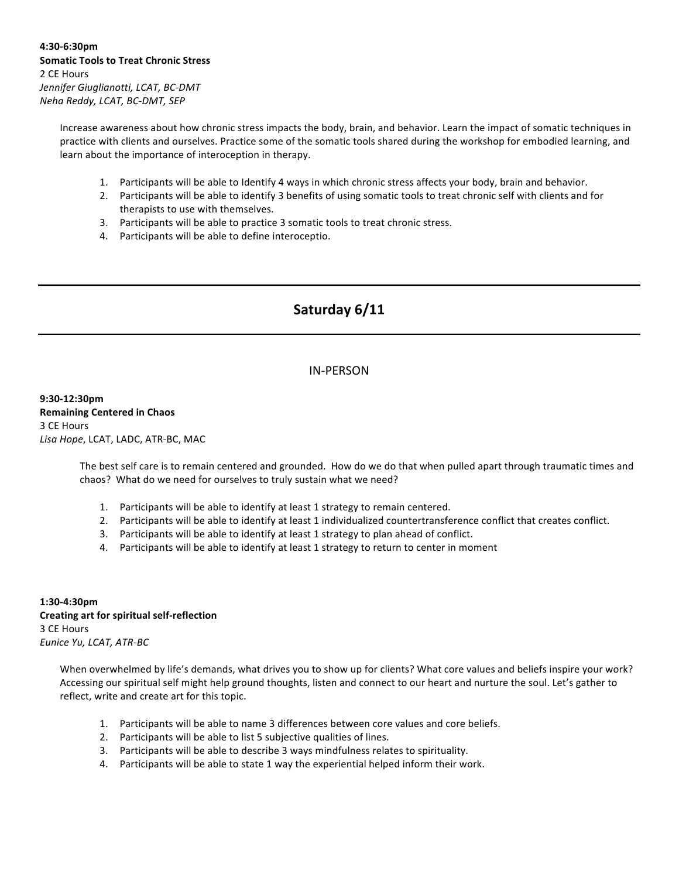Increase awareness about how chronic stress impacts the body, brain, and behavior. Learn the impact of somatic techniques in practice with clients and ourselves. Practice some of the somatic tools shared during the workshop for embodied learning, and learn about the importance of interoception in therapy.

- 1. Participants will be able to Identify 4 ways in which chronic stress affects your body, brain and behavior.
- 2. Participants will be able to identify 3 benefits of using somatic tools to treat chronic self with clients and for therapists to use with themselves.
- 3. Participants will be able to practice 3 somatic tools to treat chronic stress.
- 4. Participants will be able to define interoceptio.

## **Saturday 6/11**

### IN-PERSON

**9:30-12:30pm Remaining Centered in Chaos** 3 CE Hours Lisa Hope, LCAT, LADC, ATR-BC, MAC

> The best self care is to remain centered and grounded. How do we do that when pulled apart through traumatic times and chaos? What do we need for ourselves to truly sustain what we need?

- 1. Participants will be able to identify at least 1 strategy to remain centered.
- 2. Participants will be able to identify at least 1 individualized countertransference conflict that creates conflict.
- 3. Participants will be able to identify at least 1 strategy to plan ahead of conflict.
- 4. Participants will be able to identify at least 1 strategy to return to center in moment

**1:30-4:30pm Creating art for spiritual self-reflection** 3 CE Hours **Eunice Yu, LCAT, ATR-BC** 

> When overwhelmed by life's demands, what drives you to show up for clients? What core values and beliefs inspire your work? Accessing our spiritual self might help ground thoughts, listen and connect to our heart and nurture the soul. Let's gather to reflect, write and create art for this topic.

- 1. Participants will be able to name 3 differences between core values and core beliefs.
- 2. Participants will be able to list 5 subjective qualities of lines.
- 3. Participants will be able to describe 3 ways mindfulness relates to spirituality.
- 4. Participants will be able to state 1 way the experiential helped inform their work.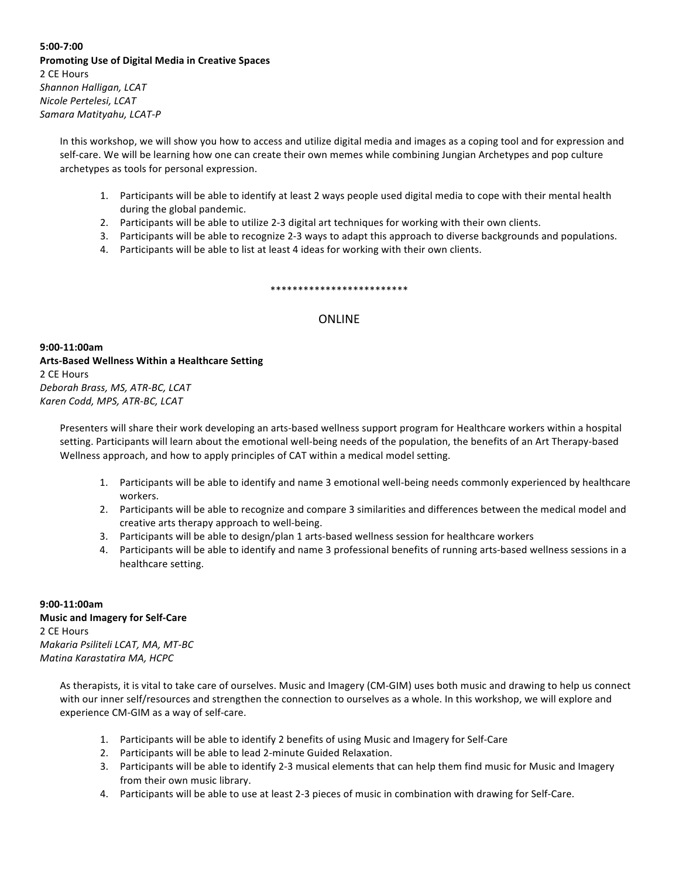### **5:00-7:00 Promoting Use of Digital Media in Creative Spaces** 2 CE Hours *Shannon Halligan, LCAT Nicole Pertelesi, LCAT Samara Matityahu, LCAT-P*

In this workshop, we will show you how to access and utilize digital media and images as a coping tool and for expression and self-care. We will be learning how one can create their own memes while combining Jungian Archetypes and pop culture archetypes as tools for personal expression.

- 1. Participants will be able to identify at least 2 ways people used digital media to cope with their mental health during the global pandemic.
- 2. Participants will be able to utilize 2-3 digital art techniques for working with their own clients.
- 3. Participants will be able to recognize 2-3 ways to adapt this approach to diverse backgrounds and populations.
- 4. Participants will be able to list at least 4 ideas for working with their own clients.

### \*\*\*\*\*\*\*\*\*\*\*\*\*\*\*\*\*\*\*\*\*\*\*\*\*

### **ONLINE**

**9:00-11:00am Arts-Based Wellness Within a Healthcare Setting** 2 CE Hours *Deborah Brass, MS, ATR-BC, LCAT Karen Codd, MPS, ATR-BC, LCAT*

Presenters will share their work developing an arts-based wellness support program for Healthcare workers within a hospital setting. Participants will learn about the emotional well-being needs of the population, the benefits of an Art Therapy-based Wellness approach, and how to apply principles of CAT within a medical model setting.

- 1. Participants will be able to identify and name 3 emotional well-being needs commonly experienced by healthcare workers.
- 2. Participants will be able to recognize and compare 3 similarities and differences between the medical model and creative arts therapy approach to well-being.
- 3. Participants will be able to design/plan 1 arts-based wellness session for healthcare workers
- 4. Participants will be able to identify and name 3 professional benefits of running arts-based wellness sessions in a healthcare setting.

### **9:00-11:00am Music and Imagery for Self-Care** 2 CE Hours *Makaria Psiliteli LCAT, MA, MT-BC Matina Karastatira MA, HCPC*

As therapists, it is vital to take care of ourselves. Music and Imagery (CM-GIM) uses both music and drawing to help us connect with our inner self/resources and strengthen the connection to ourselves as a whole. In this workshop, we will explore and experience CM-GIM as a way of self-care.

- 1. Participants will be able to identify 2 benefits of using Music and Imagery for Self-Care
- 2. Participants will be able to lead 2-minute Guided Relaxation.
- 3. Participants will be able to identify 2-3 musical elements that can help them find music for Music and Imagery from their own music library.
- 4. Participants will be able to use at least 2-3 pieces of music in combination with drawing for Self-Care.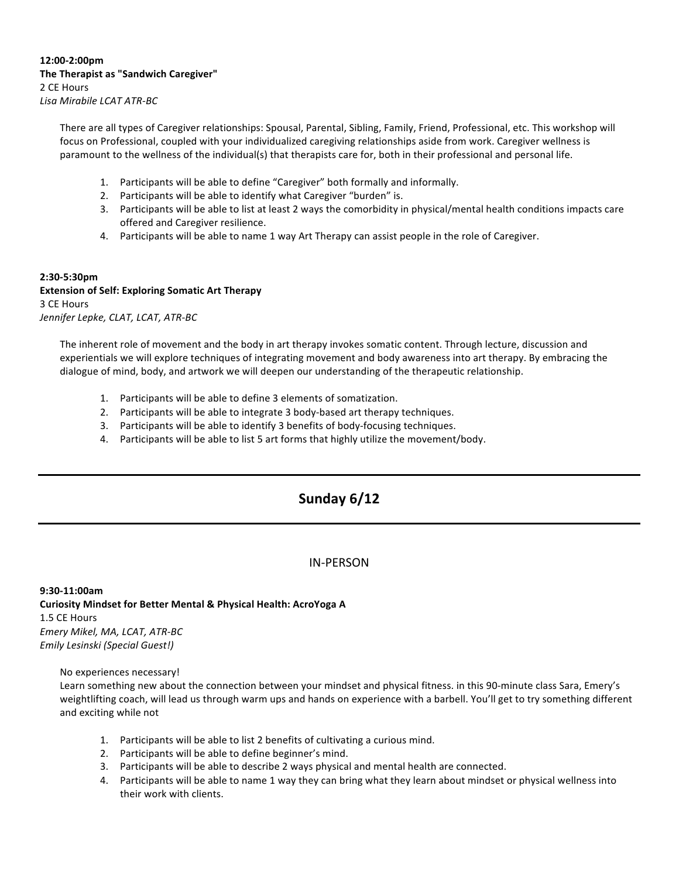**12:00-2:00pm The Therapist as "Sandwich Caregiver"** 2 CE Hours *Lisa Mirabile LCAT ATR-BC*

> There are all types of Caregiver relationships: Spousal, Parental, Sibling, Family, Friend, Professional, etc. This workshop will focus on Professional, coupled with your individualized caregiving relationships aside from work. Caregiver wellness is paramount to the wellness of the individual(s) that therapists care for, both in their professional and personal life.

- 1. Participants will be able to define "Caregiver" both formally and informally.
- 2. Participants will be able to identify what Caregiver "burden" is.
- 3. Participants will be able to list at least 2 ways the comorbidity in physical/mental health conditions impacts care offered and Caregiver resilience.
- 4. Participants will be able to name 1 way Art Therapy can assist people in the role of Caregiver.

### **2:30-5:30pm**

**Extension of Self: Exploring Somatic Art Therapy** 3 CE Hours *Jennifer Lepke, CLAT, LCAT, ATR-BC*

The inherent role of movement and the body in art therapy invokes somatic content. Through lecture, discussion and experientials we will explore techniques of integrating movement and body awareness into art therapy. By embracing the dialogue of mind, body, and artwork we will deepen our understanding of the therapeutic relationship.

- 1. Participants will be able to define 3 elements of somatization.
- 2. Participants will be able to integrate 3 body-based art therapy techniques.
- 3. Participants will be able to identify 3 benefits of body-focusing techniques.
- 4. Participants will be able to list 5 art forms that highly utilize the movement/body.

## **Sunday 6/12**

### IN-PERSON

**9:30-11:00am Curiosity Mindset for Better Mental & Physical Health: AcroYoga A** 1.5 CE Hours *Emery Mikel, MA, LCAT, ATR-BC Emily Lesinski (Special Guest!)*

No experiences necessary!

Learn something new about the connection between your mindset and physical fitness. in this 90-minute class Sara, Emery's weightlifting coach, will lead us through warm ups and hands on experience with a barbell. You'll get to try something different and exciting while not

- 1. Participants will be able to list 2 benefits of cultivating a curious mind.
- 2. Participants will be able to define beginner's mind.
- 3. Participants will be able to describe 2 ways physical and mental health are connected.
- 4. Participants will be able to name 1 way they can bring what they learn about mindset or physical wellness into their work with clients.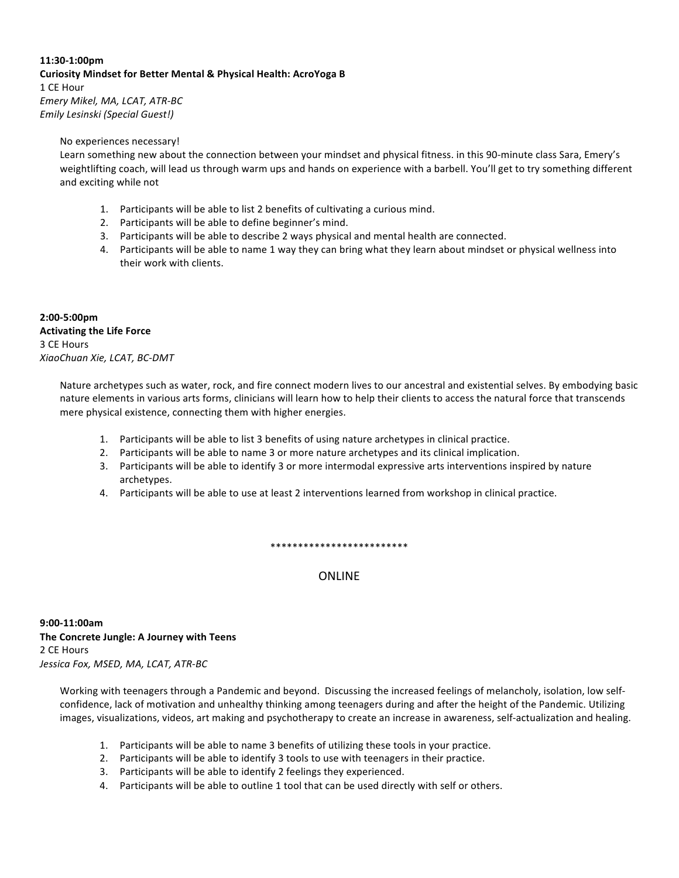### **11:30-1:00pm Curiosity Mindset for Better Mental & Physical Health: AcroYoga B** 1 CE Hour *Emery Mikel, MA, LCAT, ATR-BC Emily Lesinski (Special Guest!)*

#### No experiences necessary!

Learn something new about the connection between your mindset and physical fitness. in this 90-minute class Sara, Emery's weightlifting coach, will lead us through warm ups and hands on experience with a barbell. You'll get to try something different and exciting while not

- 1. Participants will be able to list 2 benefits of cultivating a curious mind.
- 2. Participants will be able to define beginner's mind.
- 3. Participants will be able to describe 2 ways physical and mental health are connected.
- 4. Participants will be able to name 1 way they can bring what they learn about mindset or physical wellness into their work with clients.

**2:00-5:00pm Activating the Life Force** 3 CE Hours *XiaoChuan Xie, LCAT, BC-DMT*

> Nature archetypes such as water, rock, and fire connect modern lives to our ancestral and existential selves. By embodying basic nature elements in various arts forms, clinicians will learn how to help their clients to access the natural force that transcends mere physical existence, connecting them with higher energies.

- 1. Participants will be able to list 3 benefits of using nature archetypes in clinical practice.
- 2. Participants will be able to name 3 or more nature archetypes and its clinical implication.
- 3. Participants will be able to identify 3 or more intermodal expressive arts interventions inspired by nature archetypes.
- 4. Participants will be able to use at least 2 interventions learned from workshop in clinical practice.

\*\*\*\*\*\*\*\*\*\*\*\*\*\*\*\*\*\*\*\*\*\*\*\*\*

**ONLINE** 

**9:00-11:00am The Concrete Jungle: A Journey with Teens** 2 CE Hours *Jessica Fox, MSED, MA, LCAT, ATR-BC*

Working with teenagers through a Pandemic and beyond. Discussing the increased feelings of melancholy, isolation, low selfconfidence, lack of motivation and unhealthy thinking among teenagers during and after the height of the Pandemic. Utilizing images, visualizations, videos, art making and psychotherapy to create an increase in awareness, self-actualization and healing.

- 1. Participants will be able to name 3 benefits of utilizing these tools in your practice.
- 2. Participants will be able to identify 3 tools to use with teenagers in their practice.
- 3. Participants will be able to identify 2 feelings they experienced.
- 4. Participants will be able to outline 1 tool that can be used directly with self or others.